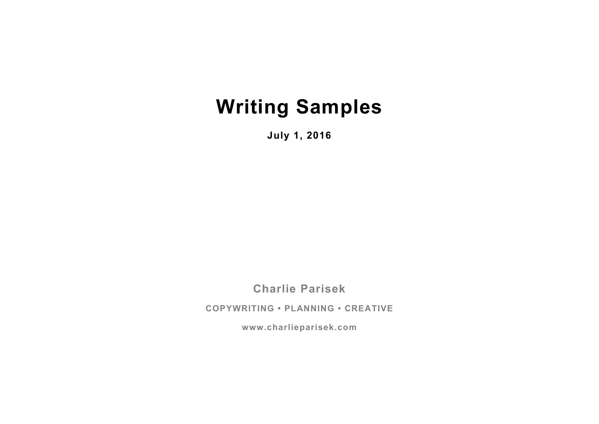# **Writing Samples**

**July 1, 2016**

**Charlie Parisek**

**COPYWRITING • PLANNING • CREATIVE**

**www.charlieparisek.com**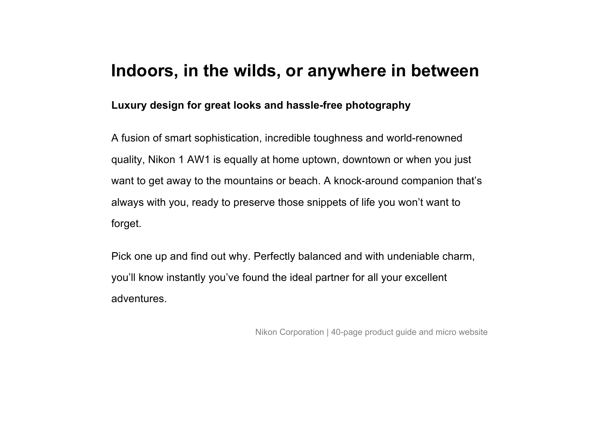### **Indoors, in the wilds, or anywhere in between**

#### **Luxury design for great looks and hassle-free photography**

A fusion of smart sophistication, incredible toughness and world-renowned quality, Nikon 1 AW1 is equally at home uptown, downtown or when you just want to get away to the mountains or beach. A knock-around companion that's always with you, ready to preserve those snippets of life you won't want to forget.

Pick one up and find out why. Perfectly balanced and with undeniable charm, you'll know instantly you've found the ideal partner for all your excellent adventures.

Nikon Corporation | 40-page product guide and micro website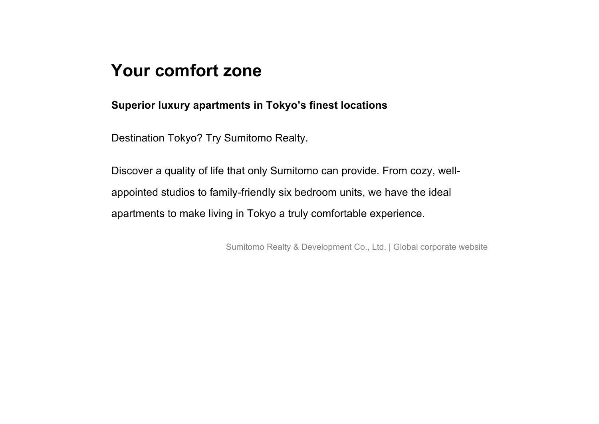### **Your comfort zone**

**Superior luxury apartments in Tokyo's finest locations**

Destination Tokyo? Try Sumitomo Realty.

Discover a quality of life that only Sumitomo can provide. From cozy, wellappointed studios to family-friendly six bedroom units, we have the ideal apartments to make living in Tokyo a truly comfortable experience.

Sumitomo Realty & Development Co., Ltd. | Global corporate website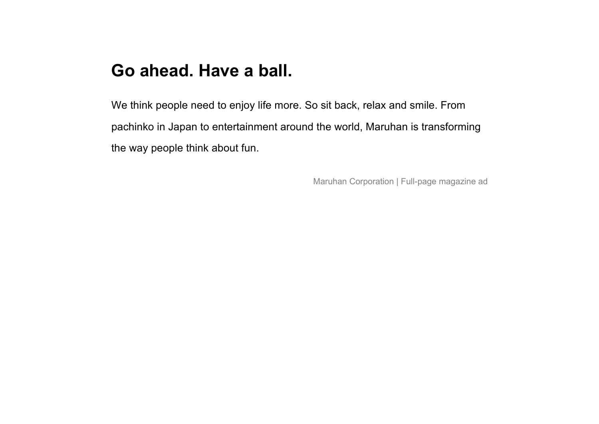# **Go ahead. Have a ball.**

We think people need to enjoy life more. So sit back, relax and smile. From pachinko in Japan to entertainment around the world, Maruhan is transforming the way people think about fun.

Maruhan Corporation | Full-page magazine ad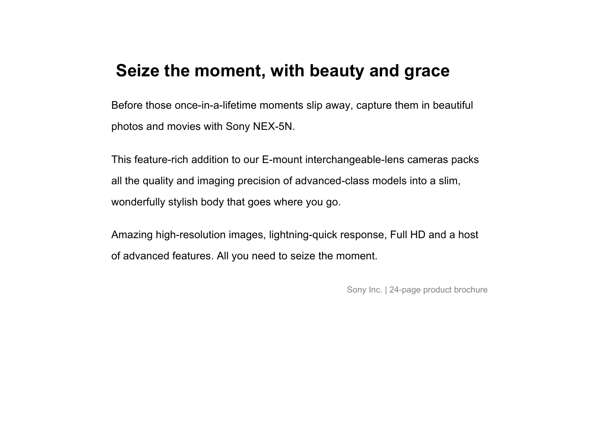### **Seize the moment, with beauty and grace**

Before those once-in-a-lifetime moments slip away, capture them in beautiful photos and movies with Sony NEX-5N.

This feature-rich addition to our E-mount interchangeable-lens cameras packs all the quality and imaging precision of advanced-class models into a slim, wonderfully stylish body that goes where you go.

Amazing high-resolution images, lightning-quick response, Full HD and a host of advanced features. All you need to seize the moment.

Sony Inc. | 24-page product brochure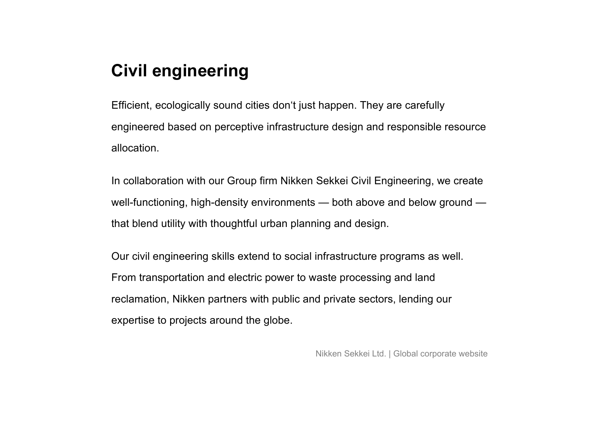# **Civil engineering**

Efficient, ecologically sound cities don't just happen. They are carefully engineered based on perceptive infrastructure design and responsible resource allocation.

In collaboration with our Group firm Nikken Sekkei Civil Engineering, we create well-functioning, high-density environments — both above and below ground that blend utility with thoughtful urban planning and design.

Our civil engineering skills extend to social infrastructure programs as well. From transportation and electric power to waste processing and land reclamation, Nikken partners with public and private sectors, lending our expertise to projects around the globe.

Nikken Sekkei Ltd. | Global corporate website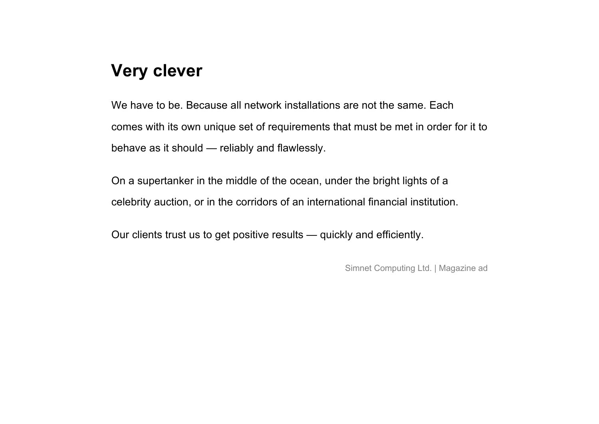# **Very clever**

We have to be. Because all network installations are not the same. Each comes with its own unique set of requirements that must be met in order for it to behave as it should — reliably and flawlessly.

On a supertanker in the middle of the ocean, under the bright lights of a celebrity auction, or in the corridors of an international financial institution.

Our clients trust us to get positive results — quickly and efficiently.

Simnet Computing Ltd. | Magazine ad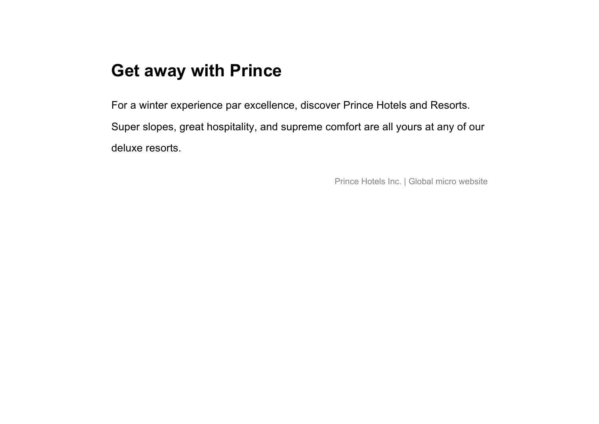# **Get away with Prince**

For a winter experience par excellence, discover Prince Hotels and Resorts. Super slopes, great hospitality, and supreme comfort are all yours at any of our deluxe resorts.

Prince Hotels Inc. | Global micro website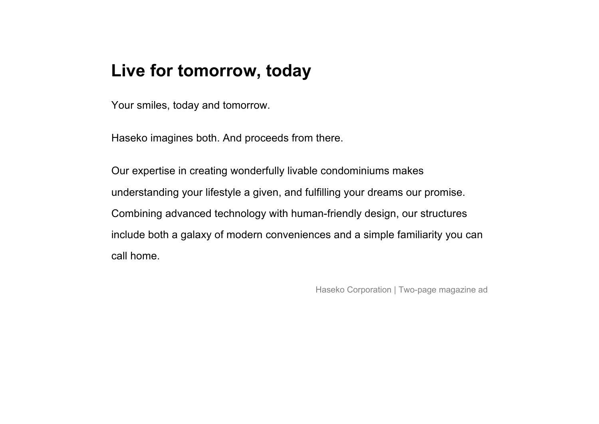### **Live for tomorrow, today**

Your smiles, today and tomorrow.

Haseko imagines both. And proceeds from there.

Our expertise in creating wonderfully livable condominiums makes understanding your lifestyle a given, and fulfilling your dreams our promise. Combining advanced technology with human-friendly design, our structures include both a galaxy of modern conveniences and a simple familiarity you can call home.

Haseko Corporation | Two-page magazine ad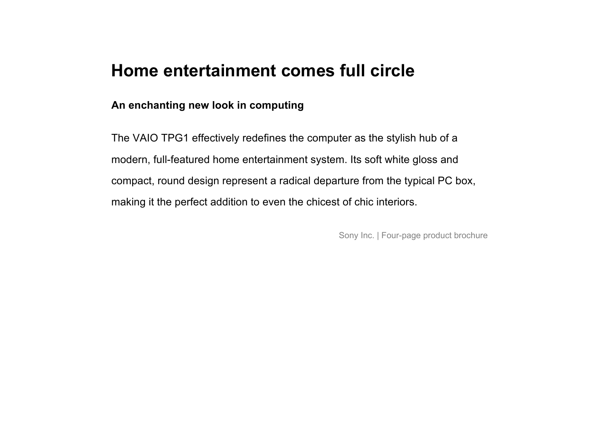### **Home entertainment comes full circle**

#### **An enchanting new look in computing**

The VAIO TPG1 effectively redefines the computer as the stylish hub of a modern, full-featured home entertainment system. Its soft white gloss and compact, round design represent a radical departure from the typical PC box, making it the perfect addition to even the chicest of chic interiors.

Sony Inc. | Four-page product brochure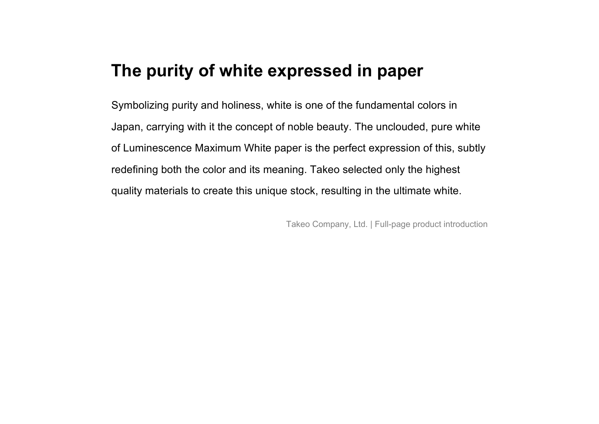### **The purity of white expressed in paper**

Symbolizing purity and holiness, white is one of the fundamental colors in Japan, carrying with it the concept of noble beauty. The unclouded, pure white of Luminescence Maximum White paper is the perfect expression of this, subtly redefining both the color and its meaning. Takeo selected only the highest quality materials to create this unique stock, resulting in the ultimate white.

Takeo Company, Ltd. | Full-page product introduction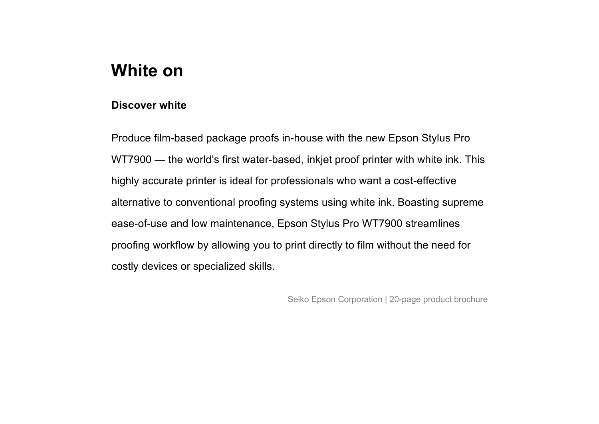# **White on**

#### **Discover white**

Produce film-based package proofs in-house with the new Epson Stylus Pro WT7900 — the world's first water-based, inkjet proof printer with white ink. This highly accurate printer is ideal for professionals who want a cost-effective alternative to conventional proofing systems using white ink. Boasting supreme ease-of-use and low maintenance, Epson Stylus Pro WT7900 streamlines proofing workflow by allowing you to print directly to film without the need for costly devices or specialized skills.

Seiko Epson Corporation | 20-page product brochure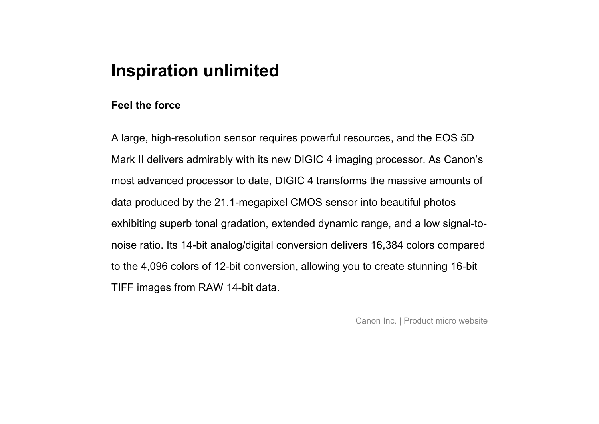### **Inspiration unlimited**

#### **Feel the force**

A large, high-resolution sensor requires powerful resources, and the EOS 5D Mark II delivers admirably with its new DIGIC 4 imaging processor. As Canon's most advanced processor to date, DIGIC 4 transforms the massive amounts of data produced by the 21.1-megapixel CMOS sensor into beautiful photos exhibiting superb tonal gradation, extended dynamic range, and a low signal-tonoise ratio. Its 14-bit analog/digital conversion delivers 16,384 colors compared to the 4,096 colors of 12-bit conversion, allowing you to create stunning 16-bit TIFF images from RAW 14-bit data.

Canon Inc. | Product micro website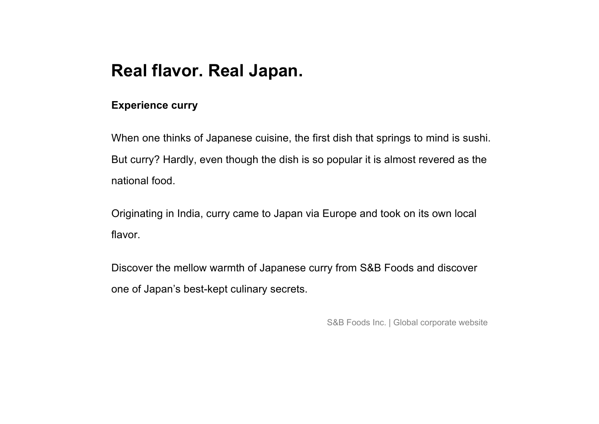# **Real flavor. Real Japan.**

#### **Experience curry**

When one thinks of Japanese cuisine, the first dish that springs to mind is sushi. But curry? Hardly, even though the dish is so popular it is almost revered as the national food.

Originating in India, curry came to Japan via Europe and took on its own local flavor.

Discover the mellow warmth of Japanese curry from S&B Foods and discover one of Japan's best-kept culinary secrets.

S&B Foods Inc. | Global corporate website